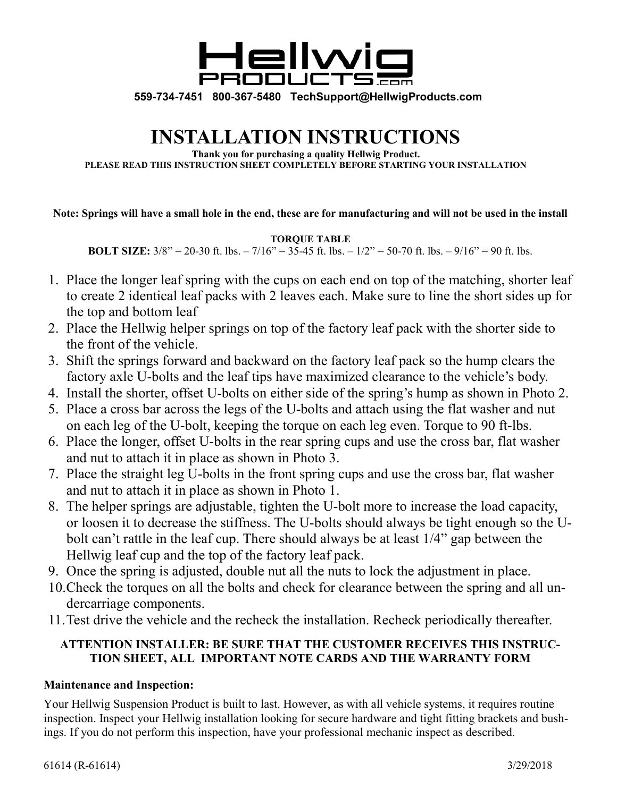

**559-734-7451 800-367-5480 TechSupport@HellwigProducts.com** 

## **INSTALLATION INSTRUCTIONS**

**Thank you for purchasing a quality Hellwig Product. PLEASE READ THIS INSTRUCTION SHEET COMPLETELY BEFORE STARTING YOUR INSTALLATION**

## **Note: Springs will have a small hole in the end, these are for manufacturing and will not be used in the install**

**TORQUE TABLE** 

**BOLT SIZE:**  $3/8$ " = 20-30 ft. lbs. – 7/16" = 35-45 ft. lbs. –  $1/2$ " = 50-70 ft. lbs. – 9/16" = 90 ft. lbs.

- 1. Place the longer leaf spring with the cups on each end on top of the matching, shorter leaf to create 2 identical leaf packs with 2 leaves each. Make sure to line the short sides up for the top and bottom leaf
- 2. Place the Hellwig helper springs on top of the factory leaf pack with the shorter side to the front of the vehicle.
- 3. Shift the springs forward and backward on the factory leaf pack so the hump clears the factory axle U-bolts and the leaf tips have maximized clearance to the vehicle's body.
- 4. Install the shorter, offset U-bolts on either side of the spring's hump as shown in Photo 2.
- 5. Place a cross bar across the legs of the U-bolts and attach using the flat washer and nut on each leg of the U-bolt, keeping the torque on each leg even. Torque to 90 ft-lbs.
- 6. Place the longer, offset U-bolts in the rear spring cups and use the cross bar, flat washer and nut to attach it in place as shown in Photo 3.
- 7. Place the straight leg U-bolts in the front spring cups and use the cross bar, flat washer and nut to attach it in place as shown in Photo 1.
- 8. The helper springs are adjustable, tighten the U-bolt more to increase the load capacity, or loosen it to decrease the stiffness. The U-bolts should always be tight enough so the Ubolt can't rattle in the leaf cup. There should always be at least 1/4" gap between the Hellwig leaf cup and the top of the factory leaf pack.
- 9. Once the spring is adjusted, double nut all the nuts to lock the adjustment in place.
- 10. Check the torques on all the bolts and check for clearance between the spring and all undercarriage components.
- 11. Test drive the vehicle and the recheck the installation. Recheck periodically thereafter.

## **ATTENTION INSTALLER: BE SURE THAT THE CUSTOMER RECEIVES THIS INSTRUC-TION SHEET, ALL IMPORTANT NOTE CARDS AND THE WARRANTY FORM**

## **Maintenance and Inspection:**

Your Hellwig Suspension Product is built to last. However, as with all vehicle systems, it requires routine inspection. Inspect your Hellwig installation looking for secure hardware and tight fitting brackets and bushings. If you do not perform this inspection, have your professional mechanic inspect as described.